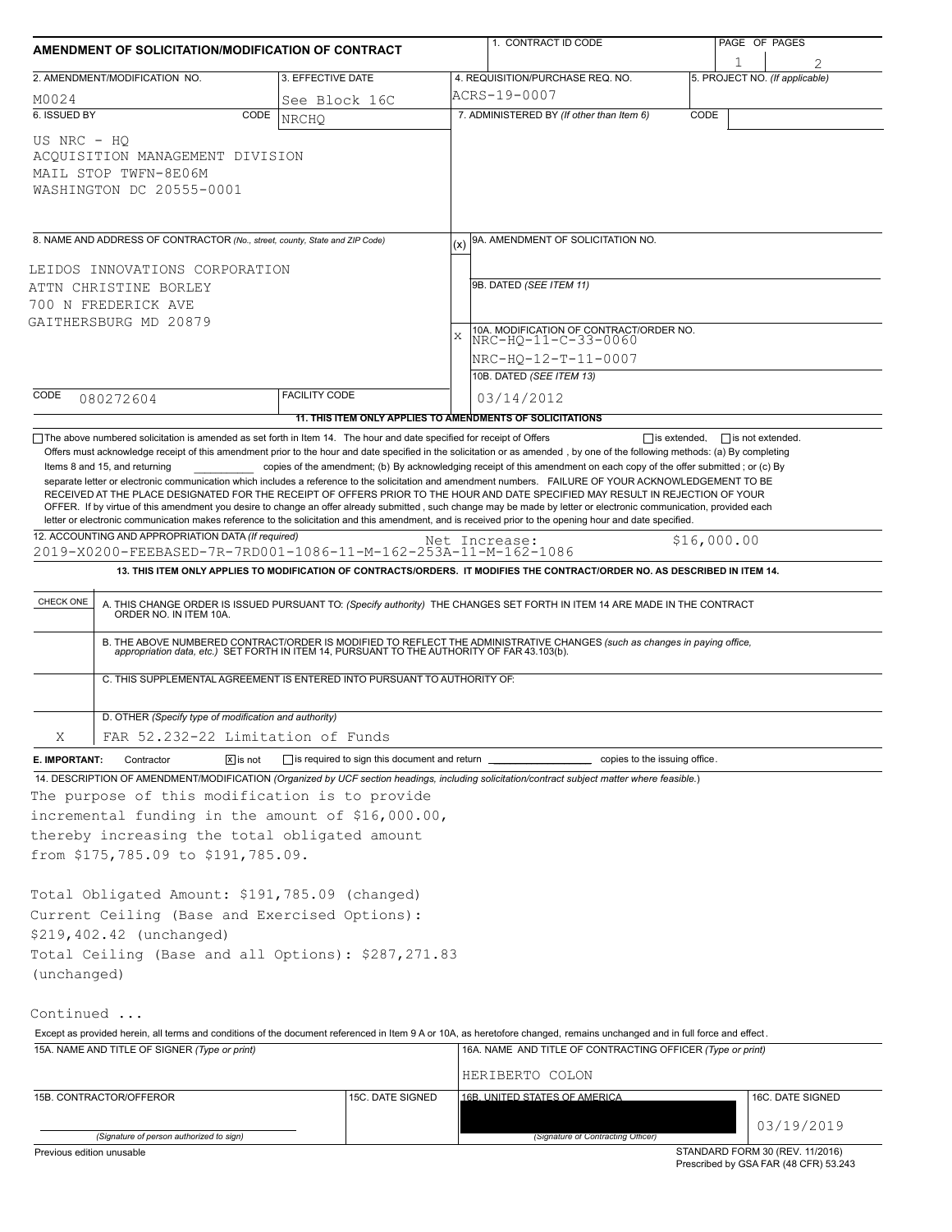| 1. CONTRACT ID CODE                                                                                                                                                                                                                                                                                                                                                                                                                                                                                                                                                                                                                                                                                                                                     | PAGE OF PAGES                         |  |  |  |  |
|---------------------------------------------------------------------------------------------------------------------------------------------------------------------------------------------------------------------------------------------------------------------------------------------------------------------------------------------------------------------------------------------------------------------------------------------------------------------------------------------------------------------------------------------------------------------------------------------------------------------------------------------------------------------------------------------------------------------------------------------------------|---------------------------------------|--|--|--|--|
| 4. REQUISITION/PURCHASE REQ. NO.                                                                                                                                                                                                                                                                                                                                                                                                                                                                                                                                                                                                                                                                                                                        | 5. PROJECT NO. (If applicable)        |  |  |  |  |
|                                                                                                                                                                                                                                                                                                                                                                                                                                                                                                                                                                                                                                                                                                                                                         |                                       |  |  |  |  |
| 7. ADMINISTERED BY (If other than Item 6)                                                                                                                                                                                                                                                                                                                                                                                                                                                                                                                                                                                                                                                                                                               | CODE                                  |  |  |  |  |
|                                                                                                                                                                                                                                                                                                                                                                                                                                                                                                                                                                                                                                                                                                                                                         |                                       |  |  |  |  |
| 9A. AMENDMENT OF SOLICITATION NO.                                                                                                                                                                                                                                                                                                                                                                                                                                                                                                                                                                                                                                                                                                                       |                                       |  |  |  |  |
|                                                                                                                                                                                                                                                                                                                                                                                                                                                                                                                                                                                                                                                                                                                                                         |                                       |  |  |  |  |
| 9B. DATED (SEE ITEM 11)                                                                                                                                                                                                                                                                                                                                                                                                                                                                                                                                                                                                                                                                                                                                 |                                       |  |  |  |  |
|                                                                                                                                                                                                                                                                                                                                                                                                                                                                                                                                                                                                                                                                                                                                                         |                                       |  |  |  |  |
| 10A. MODIFICATION OF CONTRACT/ORDER NO.                                                                                                                                                                                                                                                                                                                                                                                                                                                                                                                                                                                                                                                                                                                 |                                       |  |  |  |  |
| NRC-HO-11-C-33-0060                                                                                                                                                                                                                                                                                                                                                                                                                                                                                                                                                                                                                                                                                                                                     |                                       |  |  |  |  |
| NRC-HQ-12-T-11-0007                                                                                                                                                                                                                                                                                                                                                                                                                                                                                                                                                                                                                                                                                                                                     |                                       |  |  |  |  |
| 10B. DATED (SEE ITEM 13)                                                                                                                                                                                                                                                                                                                                                                                                                                                                                                                                                                                                                                                                                                                                |                                       |  |  |  |  |
| 03/14/2012                                                                                                                                                                                                                                                                                                                                                                                                                                                                                                                                                                                                                                                                                                                                              |                                       |  |  |  |  |
| 11. THIS ITEM ONLY APPLIES TO AMENDMENTS OF SOLICITATIONS                                                                                                                                                                                                                                                                                                                                                                                                                                                                                                                                                                                                                                                                                               |                                       |  |  |  |  |
| copies of the amendment; (b) By acknowledging receipt of this amendment on each copy of the offer submitted; or (c) By<br>separate letter or electronic communication which includes a reference to the solicitation and amendment numbers. FAILURE OF YOUR ACKNOWLEDGEMENT TO BE<br>RECEIVED AT THE PLACE DESIGNATED FOR THE RECEIPT OF OFFERS PRIOR TO THE HOUR AND DATE SPECIFIED MAY RESULT IN REJECTION OF YOUR<br>OFFER. If by virtue of this amendment you desire to change an offer already submitted, such change may be made by letter or electronic communication, provided each<br>letter or electronic communication makes reference to the solicitation and this amendment, and is received prior to the opening hour and date specified. | \$16,000.00                           |  |  |  |  |
| 2019-X0200-FEEBASED-7R-7RD001-1086-11-M-162-253A-11-M-162-1086                                                                                                                                                                                                                                                                                                                                                                                                                                                                                                                                                                                                                                                                                          |                                       |  |  |  |  |
| 13. THIS ITEM ONLY APPLIES TO MODIFICATION OF CONTRACTS/ORDERS. IT MODIFIES THE CONTRACT/ORDER NO. AS DESCRIBED IN ITEM 14.                                                                                                                                                                                                                                                                                                                                                                                                                                                                                                                                                                                                                             |                                       |  |  |  |  |
| A. THIS CHANGE ORDER IS ISSUED PURSUANT TO: (Specify authority) THE CHANGES SET FORTH IN ITEM 14 ARE MADE IN THE CONTRACT ORDER NO. IN ITEM 10A.                                                                                                                                                                                                                                                                                                                                                                                                                                                                                                                                                                                                        |                                       |  |  |  |  |
| B. THE ABOVE NUMBERED CONTRACT/ORDER IS MODIFIED TO REFLECT THE ADMINISTRATIVE CHANGES (such as changes in paying office,<br>appropriation data, etc.) SET FORTH IN ITEM 14, PURSUANT TO THE AUTHORITY OF FAR 43.103(b).                                                                                                                                                                                                                                                                                                                                                                                                                                                                                                                                |                                       |  |  |  |  |
|                                                                                                                                                                                                                                                                                                                                                                                                                                                                                                                                                                                                                                                                                                                                                         |                                       |  |  |  |  |
|                                                                                                                                                                                                                                                                                                                                                                                                                                                                                                                                                                                                                                                                                                                                                         |                                       |  |  |  |  |
|                                                                                                                                                                                                                                                                                                                                                                                                                                                                                                                                                                                                                                                                                                                                                         |                                       |  |  |  |  |
| copies to the issuing office.                                                                                                                                                                                                                                                                                                                                                                                                                                                                                                                                                                                                                                                                                                                           |                                       |  |  |  |  |
| 14. DESCRIPTION OF AMENDMENT/MODIFICATION (Organized by UCF section headings, including solicitation/contract subject matter where feasible.)                                                                                                                                                                                                                                                                                                                                                                                                                                                                                                                                                                                                           |                                       |  |  |  |  |
|                                                                                                                                                                                                                                                                                                                                                                                                                                                                                                                                                                                                                                                                                                                                                         |                                       |  |  |  |  |
|                                                                                                                                                                                                                                                                                                                                                                                                                                                                                                                                                                                                                                                                                                                                                         |                                       |  |  |  |  |
|                                                                                                                                                                                                                                                                                                                                                                                                                                                                                                                                                                                                                                                                                                                                                         |                                       |  |  |  |  |
|                                                                                                                                                                                                                                                                                                                                                                                                                                                                                                                                                                                                                                                                                                                                                         |                                       |  |  |  |  |
|                                                                                                                                                                                                                                                                                                                                                                                                                                                                                                                                                                                                                                                                                                                                                         |                                       |  |  |  |  |
|                                                                                                                                                                                                                                                                                                                                                                                                                                                                                                                                                                                                                                                                                                                                                         |                                       |  |  |  |  |
|                                                                                                                                                                                                                                                                                                                                                                                                                                                                                                                                                                                                                                                                                                                                                         |                                       |  |  |  |  |
|                                                                                                                                                                                                                                                                                                                                                                                                                                                                                                                                                                                                                                                                                                                                                         |                                       |  |  |  |  |
|                                                                                                                                                                                                                                                                                                                                                                                                                                                                                                                                                                                                                                                                                                                                                         |                                       |  |  |  |  |
|                                                                                                                                                                                                                                                                                                                                                                                                                                                                                                                                                                                                                                                                                                                                                         |                                       |  |  |  |  |
|                                                                                                                                                                                                                                                                                                                                                                                                                                                                                                                                                                                                                                                                                                                                                         |                                       |  |  |  |  |
|                                                                                                                                                                                                                                                                                                                                                                                                                                                                                                                                                                                                                                                                                                                                                         |                                       |  |  |  |  |
| Except as provided herein, all terms and conditions of the document referenced in Item 9 A or 10A, as heretofore changed, remains unchanged and in full force and effect.<br>16A. NAME AND TITLE OF CONTRACTING OFFICER (Type or print)                                                                                                                                                                                                                                                                                                                                                                                                                                                                                                                 |                                       |  |  |  |  |
|                                                                                                                                                                                                                                                                                                                                                                                                                                                                                                                                                                                                                                                                                                                                                         |                                       |  |  |  |  |
| HERIBERTO COLON                                                                                                                                                                                                                                                                                                                                                                                                                                                                                                                                                                                                                                                                                                                                         |                                       |  |  |  |  |
| 16B. UNITED STATES OF AMERICA                                                                                                                                                                                                                                                                                                                                                                                                                                                                                                                                                                                                                                                                                                                           | 16C. DATE SIGNED                      |  |  |  |  |
|                                                                                                                                                                                                                                                                                                                                                                                                                                                                                                                                                                                                                                                                                                                                                         | 03/19/2019                            |  |  |  |  |
| (Signature of Contracting Officer)                                                                                                                                                                                                                                                                                                                                                                                                                                                                                                                                                                                                                                                                                                                      | STANDARD FORM 30 (REV. 11/2016)       |  |  |  |  |
|                                                                                                                                                                                                                                                                                                                                                                                                                                                                                                                                                                                                                                                                                                                                                         | Prescribed by GSA FAR (48 CFR) 53.243 |  |  |  |  |